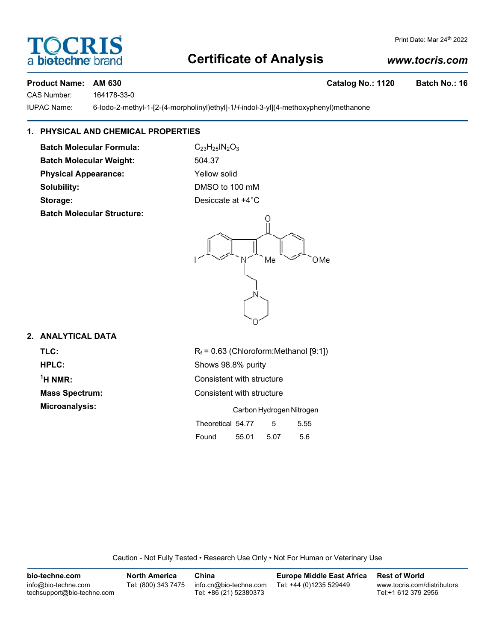## **Certificate of Analysis**

## *www.tocris.com*

Print Date: Mar 24th 2022

## Product Name: AM 630 **Catalog No.: 1120** Batch No.: 16

bio-techne<sup>®</sup>

 $\widehat{O}(\mathbf{R})$ 

CAS Number: 164178-33-0

IUPAC Name: 6-Iodo-2-methyl-1-[2-(4-morpholinyl)ethyl]-1*H*-indol-3-yl](4-methoxyphenyl)methanone

## **1. PHYSICAL AND CHEMICAL PROPERTIES**

**Batch Molecular Formula:** C<sub>23</sub>H<sub>25</sub>IN<sub>2</sub>O<sub>3</sub> **Batch Molecular Weight:** 504.37

**Batch Molecular Structure:**

**Physical Appearance:** Yellow solid **Solubility:** DMSO to 100 mM **Storage:** Desiccate at  $+4^{\circ}$ C



## **2. ANALYTICAL DATA**

 $<sup>1</sup>H NMR$ :</sup>

**TLC:**  $R_f = 0.63$  (Chloroform:Methanol [9:1]) **HPLC:** Shows 98.8% purity **Consistent with structure Mass Spectrum:** Consistent with structure **Microanalysis:** Carbon Hydrogen Nitrogen Theoretical 54.77 5 5.55

| Found | 55.01 | 5.07 | 5.6 |
|-------|-------|------|-----|
|       |       |      |     |

Caution - Not Fully Tested • Research Use Only • Not For Human or Veterinary Use

| bio-techne.com                                    | <b>North America</b> | China                                            | <b>Europe Middle East Africa</b> | <b>Rest of World</b>                               |
|---------------------------------------------------|----------------------|--------------------------------------------------|----------------------------------|----------------------------------------------------|
| info@bio-techne.com<br>techsupport@bio-techne.com | Tel: (800) 343 7475  | info.cn@bio-techne.com<br>Tel: +86 (21) 52380373 | Tel: +44 (0)1235 529449          | www.tocris.com/distributors<br>Tel:+1 612 379 2956 |